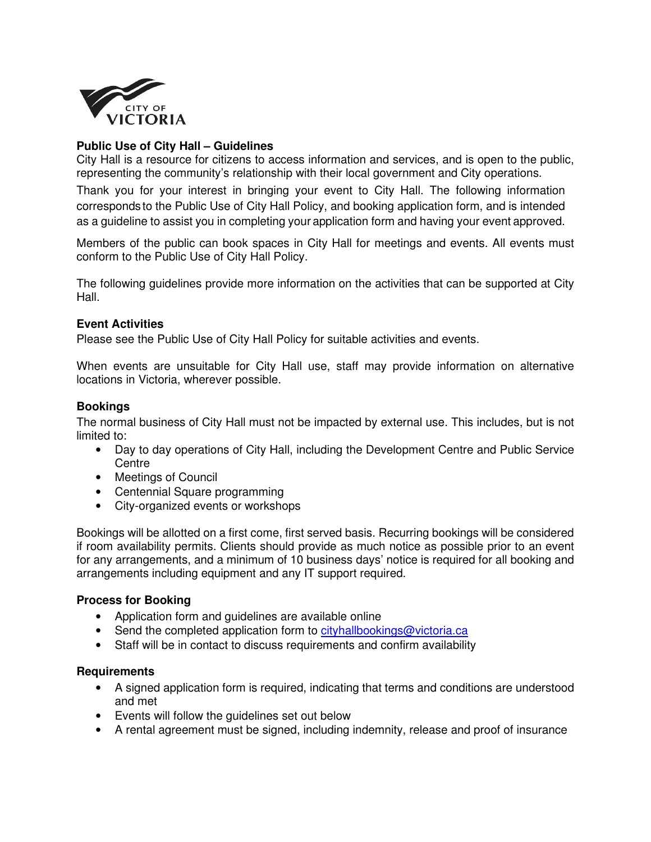

## **Public Use of City Hall – Guidelines**

City Hall is a resource for citizens to access information and services, and is open to the public, representing the community's relationship with their local government and City operations.

Thank you for your interest in bringing your event to City Hall. The following information corresponds to the Public Use of City Hall Policy, and booking application form, and is intended as a guideline to assist you in completing your application form and having your event approved.

Members of the public can book spaces in City Hall for meetings and events. All events must conform to the Public Use of City Hall Policy.

The following guidelines provide more information on the activities that can be supported at City Hall.

### **Event Activities**

Please see the Public Use of City Hall Policy for suitable activities and events.

When events are unsuitable for City Hall use, staff may provide information on alternative locations in Victoria, wherever possible.

#### **Bookings**

The normal business of City Hall must not be impacted by external use. This includes, but is not limited to:

- Day to day operations of City Hall, including the Development Centre and Public Service **Centre**
- Meetings of Council
- Centennial Square programming
- City-organized events or workshops

Bookings will be allotted on a first come, first served basis. Recurring bookings will be considered if room availability permits. Clients should provide as much notice as possible prior to an event for any arrangements, and a minimum of 10 business days' notice is required for all booking and arrangements including equipment and any IT support required.

### **Process for Booking**

- Application form and guidelines are available online
- Send the completed application form to cityhallbookings@victoria.ca
- Staff will be in contact to discuss requirements and confirm availability

#### **Requirements**

- A signed application form is required, indicating that terms and conditions are understood and met
- Events will follow the guidelines set out below
- A rental agreement must be signed, including indemnity, release and proof of insurance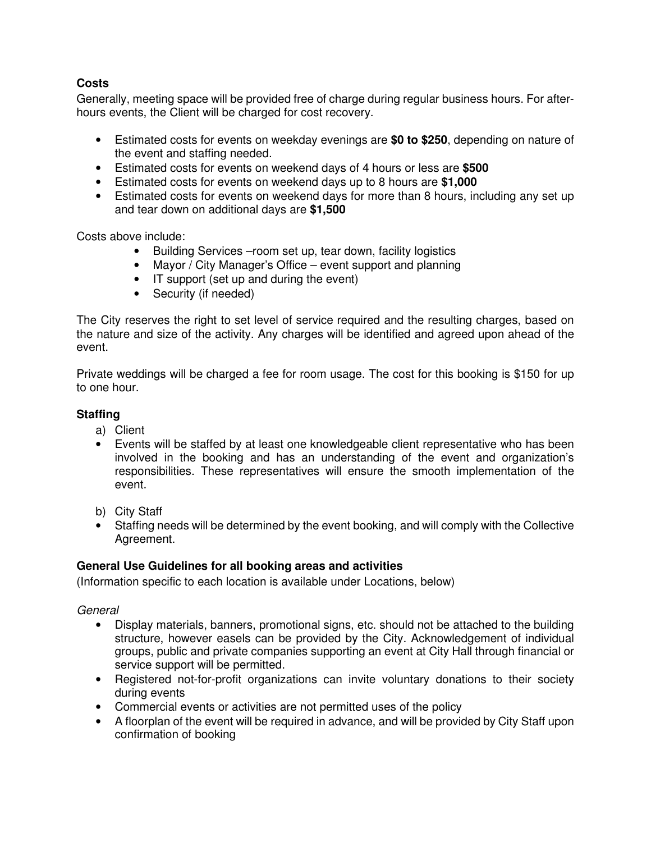# **Costs**

Generally, meeting space will be provided free of charge during regular business hours. For afterhours events, the Client will be charged for cost recovery.

- Estimated costs for events on weekday evenings are **\$0 to \$250**, depending on nature of the event and staffing needed.
- Estimated costs for events on weekend days of 4 hours or less are **\$500**
- Estimated costs for events on weekend days up to 8 hours are **\$1,000**
- Estimated costs for events on weekend days for more than 8 hours, including any set up and tear down on additional days are **\$1,500**

Costs above include:

- Building Services –room set up, tear down, facility logistics
- Mayor / City Manager's Office event support and planning
- IT support (set up and during the event)
- Security (if needed)

The City reserves the right to set level of service required and the resulting charges, based on the nature and size of the activity. Any charges will be identified and agreed upon ahead of the event.

Private weddings will be charged a fee for room usage. The cost for this booking is \$150 for up to one hour.

# **Staffing**

- a) Client
- Events will be staffed by at least one knowledgeable client representative who has been involved in the booking and has an understanding of the event and organization's responsibilities. These representatives will ensure the smooth implementation of the event.
- b) City Staff
- Staffing needs will be determined by the event booking, and will comply with the Collective Agreement.

# **General Use Guidelines for all booking areas and activities**

(Information specific to each location is available under Locations, below)

**General** 

- Display materials, banners, promotional signs, etc. should not be attached to the building structure, however easels can be provided by the City. Acknowledgement of individual groups, public and private companies supporting an event at City Hall through financial or service support will be permitted.
- Registered not-for-profit organizations can invite voluntary donations to their society during events
- Commercial events or activities are not permitted uses of the policy
- A floorplan of the event will be required in advance, and will be provided by City Staff upon confirmation of booking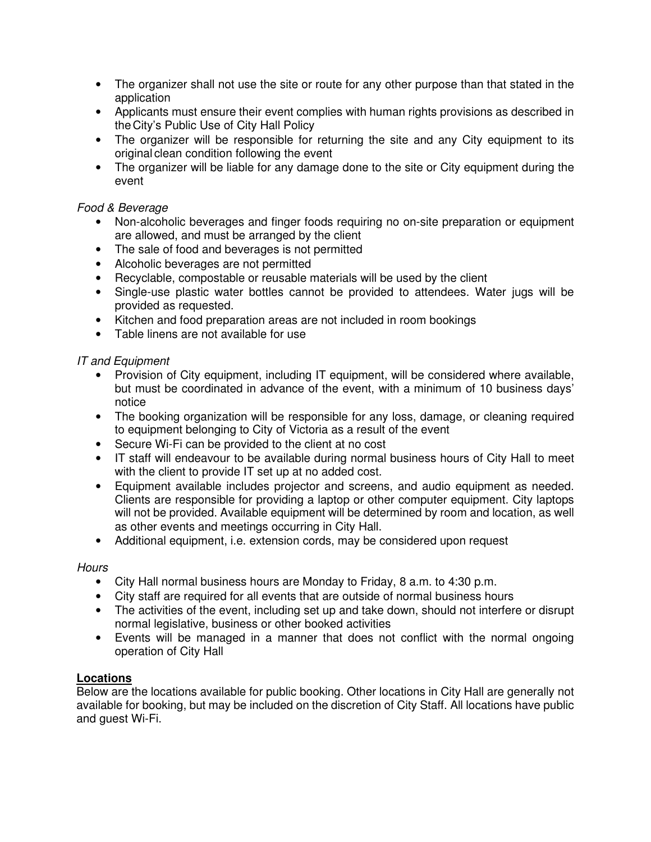- The organizer shall not use the site or route for any other purpose than that stated in the application
- Applicants must ensure their event complies with human rights provisions as described in the City's Public Use of City Hall Policy
- The organizer will be responsible for returning the site and any City equipment to its original clean condition following the event
- The organizer will be liable for any damage done to the site or City equipment during the event

## Food & Beverage

- Non-alcoholic beverages and finger foods requiring no on-site preparation or equipment are allowed, and must be arranged by the client
- The sale of food and beverages is not permitted
- Alcoholic beverages are not permitted
- Recyclable, compostable or reusable materials will be used by the client
- Single-use plastic water bottles cannot be provided to attendees. Water jugs will be provided as requested.
- Kitchen and food preparation areas are not included in room bookings
- Table linens are not available for use

# IT and Equipment

- Provision of City equipment, including IT equipment, will be considered where available, but must be coordinated in advance of the event, with a minimum of 10 business days' notice
- The booking organization will be responsible for any loss, damage, or cleaning required to equipment belonging to City of Victoria as a result of the event
- Secure Wi-Fi can be provided to the client at no cost
- IT staff will endeavour to be available during normal business hours of City Hall to meet with the client to provide IT set up at no added cost.
- Equipment available includes projector and screens, and audio equipment as needed. Clients are responsible for providing a laptop or other computer equipment. City laptops will not be provided. Available equipment will be determined by room and location, as well as other events and meetings occurring in City Hall.
- Additional equipment, i.e. extension cords, may be considered upon request

### **Hours**

- City Hall normal business hours are Monday to Friday, 8 a.m. to 4:30 p.m.
- City staff are required for all events that are outside of normal business hours
- The activities of the event, including set up and take down, should not interfere or disrupt normal legislative, business or other booked activities
- Events will be managed in a manner that does not conflict with the normal ongoing operation of City Hall

### **Locations**

Below are the locations available for public booking. Other locations in City Hall are generally not available for booking, but may be included on the discretion of City Staff. All locations have public and guest Wi-Fi.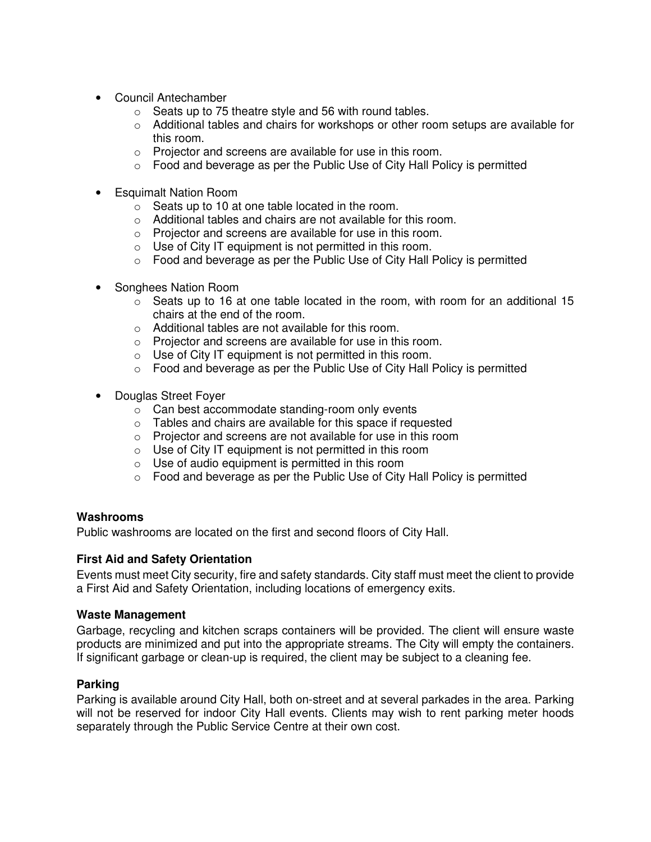- Council Antechamber
	- $\circ$  Seats up to 75 theatre style and 56 with round tables.
	- $\circ$  Additional tables and chairs for workshops or other room setups are available for this room.
	- o Projector and screens are available for use in this room.
	- o Food and beverage as per the Public Use of City Hall Policy is permitted
- Esquimalt Nation Room
	- o Seats up to 10 at one table located in the room.
	- o Additional tables and chairs are not available for this room.
	- o Projector and screens are available for use in this room.
	- $\circ$  Use of City IT equipment is not permitted in this room.
	- o Food and beverage as per the Public Use of City Hall Policy is permitted
- Songhees Nation Room
	- $\circ$  Seats up to 16 at one table located in the room, with room for an additional 15 chairs at the end of the room.
	- o Additional tables are not available for this room.
	- o Projector and screens are available for use in this room.
	- o Use of City IT equipment is not permitted in this room.
	- o Food and beverage as per the Public Use of City Hall Policy is permitted
- Douglas Street Foyer
	- o Can best accommodate standing-room only events
	- o Tables and chairs are available for this space if requested
	- o Projector and screens are not available for use in this room
	- $\circ$  Use of City IT equipment is not permitted in this room
	- $\circ$  Use of audio equipment is permitted in this room
	- o Food and beverage as per the Public Use of City Hall Policy is permitted

### **Washrooms**

Public washrooms are located on the first and second floors of City Hall.

### **First Aid and Safety Orientation**

Events must meet City security, fire and safety standards. City staff must meet the client to provide a First Aid and Safety Orientation, including locations of emergency exits.

#### **Waste Management**

Garbage, recycling and kitchen scraps containers will be provided. The client will ensure waste products are minimized and put into the appropriate streams. The City will empty the containers. If significant garbage or clean-up is required, the client may be subject to a cleaning fee.

### **Parking**

Parking is available around City Hall, both on-street and at several parkades in the area. Parking will not be reserved for indoor City Hall events. Clients may wish to rent parking meter hoods separately through the Public Service Centre at their own cost.